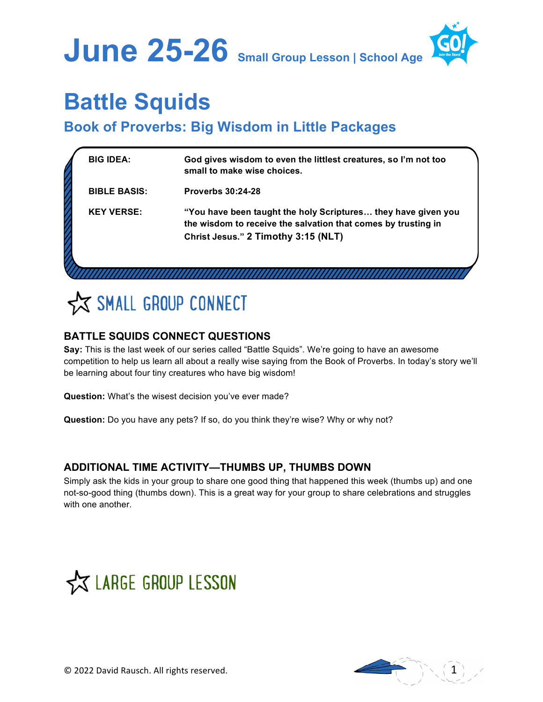

# **Battle Squids**

# **Book of Proverbs: Big Wisdom in Little Packages**

| <b>BIG IDEA:</b>    | God gives wisdom to even the littlest creatures, so I'm not too<br>small to make wise choices.                                                                        |
|---------------------|-----------------------------------------------------------------------------------------------------------------------------------------------------------------------|
| <b>BIBLE BASIS:</b> | <b>Proverbs 30:24-28</b>                                                                                                                                              |
| <b>KEY VERSE:</b>   | "You have been taught the holy Scriptures they have given you<br>the wisdom to receive the salvation that comes by trusting in<br>Christ Jesus." 2 Timothy 3:15 (NLT) |
|                     |                                                                                                                                                                       |



## **BATTLE SQUIDS CONNECT QUESTIONS**

**Say:** This is the last week of our series called "Battle Squids". We're going to have an awesome competition to help us learn all about a really wise saying from the Book of Proverbs. In today's story we'll be learning about four tiny creatures who have big wisdom!

**Question:** What's the wisest decision you've ever made?

**Question:** Do you have any pets? If so, do you think they're wise? Why or why not?

### **ADDITIONAL TIME ACTIVITY—THUMBS UP, THUMBS DOWN**

Simply ask the kids in your group to share one good thing that happened this week (thumbs up) and one not-so-good thing (thumbs down). This is a great way for your group to share celebrations and struggles with one another.



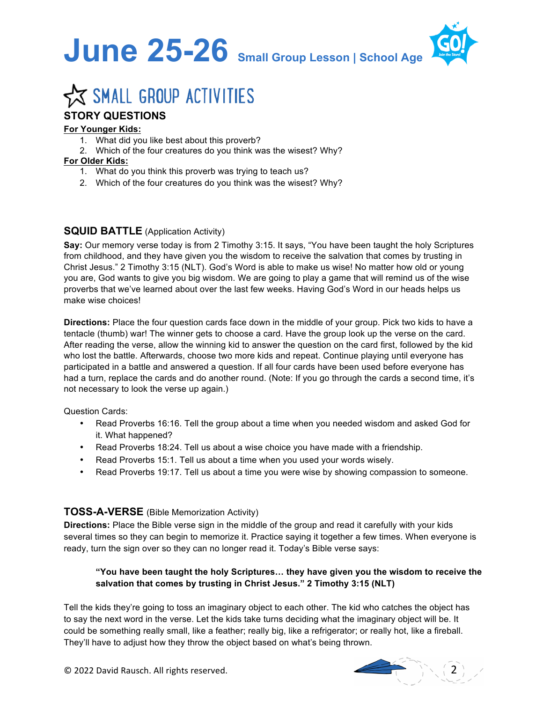



# **X SMALL GROUP ACTIVITIES**

## **STORY QUESTIONS**

#### **For Younger Kids:**

- 1. What did you like best about this proverb?
- 2. Which of the four creatures do you think was the wisest? Why?

#### **For Older Kids:**

- 1. What do you think this proverb was trying to teach us?
- 2. Which of the four creatures do you think was the wisest? Why?

#### **SQUID BATTLE** (Application Activity)

**Say:** Our memory verse today is from 2 Timothy 3:15. It says, "You have been taught the holy Scriptures from childhood, and they have given you the wisdom to receive the salvation that comes by trusting in Christ Jesus." 2 Timothy 3:15 (NLT). God's Word is able to make us wise! No matter how old or young you are, God wants to give you big wisdom. We are going to play a game that will remind us of the wise proverbs that we've learned about over the last few weeks. Having God's Word in our heads helps us make wise choices!

**Directions:** Place the four question cards face down in the middle of your group. Pick two kids to have a tentacle (thumb) war! The winner gets to choose a card. Have the group look up the verse on the card. After reading the verse, allow the winning kid to answer the question on the card first, followed by the kid who lost the battle. Afterwards, choose two more kids and repeat. Continue playing until everyone has participated in a battle and answered a question. If all four cards have been used before everyone has had a turn, replace the cards and do another round. (Note: If you go through the cards a second time, it's not necessary to look the verse up again.)

#### Question Cards:

- Read Proverbs 16:16. Tell the group about a time when you needed wisdom and asked God for it. What happened?
- Read Proverbs 18:24. Tell us about a wise choice you have made with a friendship.
- Read Proverbs 15:1. Tell us about a time when you used your words wisely.
- Read Proverbs 19:17. Tell us about a time you were wise by showing compassion to someone.

#### **TOSS-A-VERSE** (Bible Memorization Activity)

**Directions:** Place the Bible verse sign in the middle of the group and read it carefully with your kids several times so they can begin to memorize it. Practice saying it together a few times. When everyone is ready, turn the sign over so they can no longer read it. Today's Bible verse says:

#### **"You have been taught the holy Scriptures… they have given you the wisdom to receive the salvation that comes by trusting in Christ Jesus." 2 Timothy 3:15 (NLT)**

Tell the kids they're going to toss an imaginary object to each other. The kid who catches the object has to say the next word in the verse. Let the kids take turns deciding what the imaginary object will be. It could be something really small, like a feather; really big, like a refrigerator; or really hot, like a fireball. They'll have to adjust how they throw the object based on what's being thrown.



© 2022 David Rausch. All rights reserved. 2